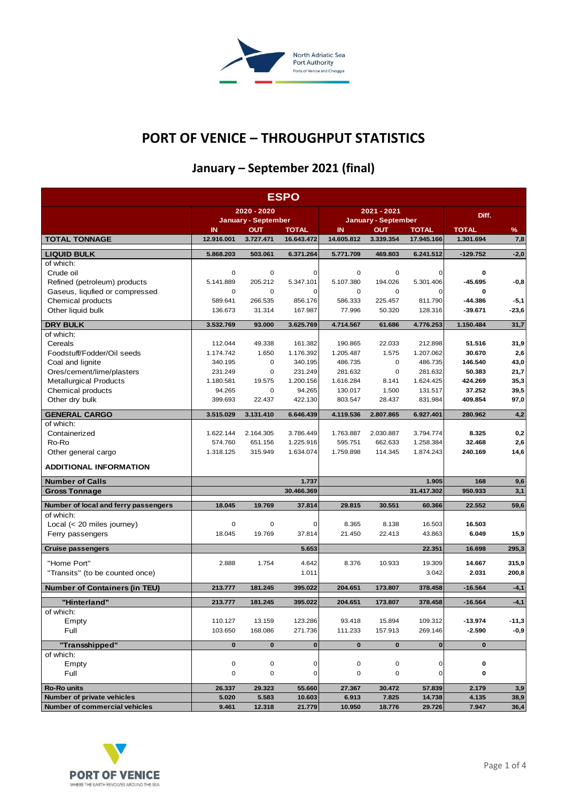

# **PORT OF VENICE – THROUGHPUT STATISTICS**

# **January – September 2021 (final)**

| <b>ESPO</b>                               |                                                                          |                 |                                                                |                 |                 |                   |                |              |  |
|-------------------------------------------|--------------------------------------------------------------------------|-----------------|----------------------------------------------------------------|-----------------|-----------------|-------------------|----------------|--------------|--|
|                                           | 2020 - 2020                                                              |                 | 2021 - 2021                                                    |                 |                 | Diff.             |                |              |  |
|                                           | <b>January - September</b><br>$\mathbf{I}$<br><b>OUT</b><br><b>TOTAL</b> |                 | <b>January - September</b><br>IN<br><b>OUT</b><br><b>TOTAL</b> |                 |                 | %<br><b>TOTAL</b> |                |              |  |
| <b>TOTAL TONNAGE</b>                      | 12.916.001                                                               | 3.727.471       | 16.643.472                                                     | 14.605.812      | 3.339.354       | 17.945.166        | 1.301.694      | 7,8          |  |
| <b>LIQUID BULK</b>                        | 5.868.203                                                                | 503.061         | 6.371.264                                                      | 5.771.709       | 469.803         | 6.241.512         | $-129.752$     | $-2,0$       |  |
| of which:                                 |                                                                          |                 |                                                                |                 |                 |                   |                |              |  |
| Crude oil                                 | $\mathbf 0$                                                              | $\mathbf 0$     | 0                                                              | $\mathbf 0$     | $\mathbf 0$     | 0                 | 0              |              |  |
| Refined (petroleum) products              | 5.141.889                                                                | 205.212         | 5.347.101                                                      | 5.107.380       | 194.026         | 5.301.406         | $-45.695$      | $-0,8$       |  |
| Gaseus, liqufied or compressed            | 0                                                                        | 0               | 0                                                              | 0               | 0               | 0                 | 0              |              |  |
| Chemical products                         | 589.641                                                                  | 266.535         | 856.176                                                        | 586.333         | 225.457         | 811.790           | $-44.386$      | $-5,1$       |  |
| Other liquid bulk                         | 136.673                                                                  | 31.314          | 167.987                                                        | 77.996          | 50.320          | 128.316           | $-39.671$      | $-23,6$      |  |
| <b>DRY BULK</b>                           | 3.532.769                                                                | 93.000          | 3.625.769                                                      | 4.714.567       | 61.686          | 4.776.253         | 1.150.484      | 31,7         |  |
| of which:                                 |                                                                          |                 |                                                                |                 |                 |                   |                |              |  |
| Cereals                                   | 112.044                                                                  | 49.338          | 161.382                                                        | 190.865         | 22.033          | 212.898           | 51.516         | 31,9         |  |
| Foodstuff/Fodder/Oil seeds                | 1.174.742                                                                | 1.650           | 1.176.392                                                      | 1.205.487       | 1.575           | 1.207.062         | 30.670         | 2,6          |  |
| Coal and lignite                          | 340.195                                                                  | $\mathbf 0$     | 340.195                                                        | 486.735         | $\mathbf 0$     | 486.735           | 146.540        | 43,0         |  |
| Ores/cement/lime/plasters                 | 231.249                                                                  | 0               | 231.249                                                        | 281.632         | 0               | 281.632           | 50.383         | 21,7         |  |
| <b>Metallurgical Products</b>             | 1.180.581                                                                | 19.575          | 1.200.156                                                      | 1.616.284       | 8.141           | 1.624.425         | 424.269        | 35,3         |  |
| Chemical products                         | 94.265                                                                   | 0<br>22.437     | 94.265                                                         | 130.017         | 1.500           | 131.517           | 37.252         | 39,5         |  |
| Other dry bulk                            | 399.693                                                                  |                 | 422.130                                                        | 803.547         | 28.437          | 831.984           | 409.854        | 97,0         |  |
| <b>GENERAL CARGO</b>                      | 3.515.029                                                                | 3.131.410       | 6.646.439                                                      | 4.119.536       | 2.807.865       | 6.927.401         | 280.962        | 4,2          |  |
| of which:                                 |                                                                          |                 |                                                                |                 |                 |                   |                |              |  |
| Containerized                             | 1.622.144                                                                | 2.164.305       | 3.786.449                                                      | 1.763.887       | 2.030.887       | 3.794.774         | 8.325          | 0,2          |  |
| Ro-Ro                                     | 574.760                                                                  | 651.156         | 1.225.916                                                      | 595.751         | 662.633         | 1.258.384         | 32.468         | 2,6          |  |
| Other general cargo                       | 1.318.125                                                                | 315.949         | 1.634.074                                                      | 1.759.898       | 114.345         | 1.874.243         | 240.169        | 14,6         |  |
| <b>ADDITIONAL INFORMATION</b>             |                                                                          |                 |                                                                |                 |                 |                   |                |              |  |
| <b>Number of Calls</b>                    |                                                                          |                 | 1.737                                                          |                 |                 | 1.905             | 168            | 9,6          |  |
| <b>Gross Tonnage</b>                      |                                                                          |                 | 30.466.369                                                     |                 |                 | 31.417.302        | 950.933        | 3,1          |  |
| Number of local and ferry passengers      | 18.045                                                                   | 19.769          | 37.814                                                         | 29.815          | 30.551          | 60.366            | 22.552         | 59,6         |  |
| of which:                                 |                                                                          |                 |                                                                |                 |                 |                   |                |              |  |
| Local $(< 20$ miles journey)              | 0                                                                        | 0               | 0                                                              | 8.365           | 8.138           | 16.503            | 16.503         |              |  |
| Ferry passengers                          | 18.045                                                                   | 19.769          | 37.814                                                         | 21.450          | 22.413          | 43.863            | 6.049          | 15,9         |  |
| Cruise passengers                         |                                                                          |                 | 5.653                                                          |                 |                 | 22.351            | 16.698         | 295,3        |  |
| "Home Port"                               | 2.888                                                                    | 1.754           | 4.642                                                          | 8.376           | 10.933          | 19.309            | 14.667         | 315,9        |  |
| "Transits" (to be counted once)           |                                                                          |                 | 1.011                                                          |                 |                 | 3.042             | 2.031          | 200,8        |  |
| <b>Number of Containers (in TEU)</b>      | 213.777                                                                  | 181.245         | 395.022                                                        | 204.651         | 173.807         | 378.458           | $-16.564$      | $-4,1$       |  |
|                                           |                                                                          |                 |                                                                |                 |                 |                   |                |              |  |
| "Hinterland"<br>of which:                 | 213.777                                                                  | 181.245         | 395.022                                                        | 204.651         | 173.807         | 378.458           | $-16.564$      | $-4,1$       |  |
| Empty                                     | 110.127                                                                  | 13.159          | 123.286                                                        | 93.418          | 15.894          | 109.312           | $-13.974$      | $-11,3$      |  |
| Full                                      | 103.650                                                                  | 168.086         | 271.736                                                        | 111.233         | 157.913         | 269.146           | $-2.590$       | $-0,9$       |  |
|                                           |                                                                          |                 |                                                                |                 |                 |                   |                |              |  |
| "Transshipped"                            | $\bf{0}$                                                                 | $\mathbf 0$     | $\mathbf 0$                                                    | $\mathbf{0}$    | $\mathbf 0$     | $\mathbf{0}$      | $\mathbf 0$    |              |  |
| of which:<br>Empty                        | $\pmb{0}$                                                                | $\mathsf 0$     | 0                                                              | $\mathsf 0$     | $\mathsf 0$     | 0                 | 0              |              |  |
| Full                                      | 0                                                                        | $\mathsf 0$     | 0                                                              | 0               | $\mathbf 0$     | 0                 | 0              |              |  |
|                                           |                                                                          |                 |                                                                |                 |                 |                   |                |              |  |
| Ro-Ro units<br>Number of private vehicles | 26.337                                                                   | 29.323          | 55.660                                                         | 27.367          | 30.472          | 57.839            | 2.179          | 3,9          |  |
| Number of commercial vehicles             | 5.020<br>9.461                                                           | 5.583<br>12.318 | 10.603<br>21.779                                               | 6.913<br>10.950 | 7.825<br>18.776 | 14.738<br>29.726  | 4.135<br>7.947 | 38,9<br>36,4 |  |

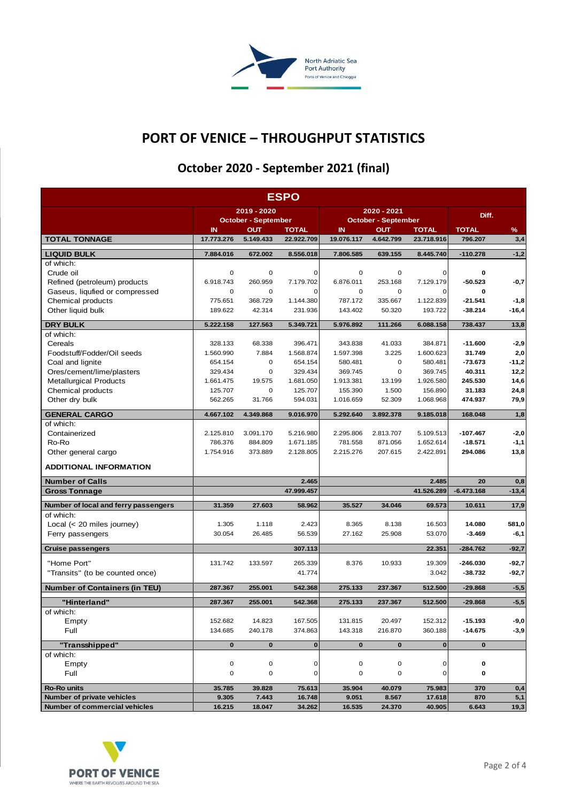

### **PORT OF VENICE – THROUGHPUT STATISTICS**

# **October 2020 - September 2021 (final)**

| <b>ESPO</b>                          |                            |                  |                            |                            |                         |                            |                         |          |
|--------------------------------------|----------------------------|------------------|----------------------------|----------------------------|-------------------------|----------------------------|-------------------------|----------|
|                                      | 2019 - 2020                |                  | 2020 - 2021                |                            |                         | Diff.                      |                         |          |
|                                      | <b>October - September</b> |                  | <b>October - September</b> |                            |                         |                            |                         |          |
| <b>TOTAL TONNAGE</b>                 | IN<br>17.773.276           | ΟUΤ<br>5.149.433 | <b>TOTAL</b><br>22.922.709 | $\mathbf{I}$<br>19.076.117 | <b>OUT</b><br>4.642.799 | <b>TOTAL</b><br>23.718.916 | <b>TOTAL</b><br>796.207 | %<br>3,4 |
| <b>LIQUID BULK</b>                   | 7.884.016                  | 672.002          | 8.556.018                  | 7.806.585                  | 639.155                 | 8.445.740                  | $-110.278$              | $-1,2$   |
| of which:                            |                            |                  |                            |                            |                         |                            |                         |          |
| Crude oil                            | 0                          | 0                | 0                          | 0                          | 0                       | 0                          | 0                       |          |
| Refined (petroleum) products         | 6.918.743                  | 260.959          | 7.179.702                  | 6.876.011                  | 253.168                 | 7.129.179                  | $-50.523$               | $-0,7$   |
| Gaseus, liqufied or compressed       | 0                          | $\mathbf 0$      | $\mathbf 0$                | 0                          | 0                       | 0                          | 0                       |          |
| Chemical products                    | 775.651                    | 368.729          | 1.144.380                  | 787.172                    | 335.667                 | 1.122.839                  | $-21.541$               | $-1,8$   |
| Other liquid bulk                    | 189.622                    | 42.314           | 231.936                    | 143.402                    | 50.320                  | 193.722                    | $-38.214$               | $-16,4$  |
| <b>DRY BULK</b>                      | 5.222.158                  | 127.563          | 5.349.721                  | 5.976.892                  | 111.266                 | 6.088.158                  | 738.437                 | 13,8     |
| of which:                            |                            |                  |                            |                            |                         |                            |                         |          |
| Cereals                              | 328.133                    | 68.338           | 396.471                    | 343.838                    | 41.033                  | 384.871                    | $-11.600$               | $-2,9$   |
| Foodstuff/Fodder/Oil seeds           | 1.560.990                  | 7.884            | 1.568.874                  | 1.597.398                  | 3.225                   | 1.600.623                  | 31.749                  | 2,0      |
| Coal and lignite                     | 654.154                    | $\mathbf 0$      | 654.154                    | 580.481                    | 0                       | 580.481                    | $-73.673$               | $-11,2$  |
| Ores/cement/lime/plasters            | 329.434                    | 0                | 329.434                    | 369.745                    | 0                       | 369.745                    | 40.311                  | 12,2     |
| <b>Metallurgical Products</b>        | 1.661.475                  | 19.575           | 1.681.050                  | 1.913.381                  | 13.199                  | 1.926.580                  | 245.530                 | 14,6     |
| Chemical products                    | 125.707                    | 0                | 125.707                    | 155.390                    | 1.500                   | 156.890                    | 31.183                  | 24,8     |
| Other dry bulk                       | 562.265                    | 31.766           | 594.031                    | 1.016.659                  | 52.309                  | 1.068.968                  | 474.937                 | 79,9     |
| <b>GENERAL CARGO</b>                 | 4.667.102                  | 4.349.868        | 9.016.970                  | 5.292.640                  | 3.892.378               | 9.185.018                  | 168.048                 | 1,8      |
| of which:                            |                            |                  |                            |                            |                         |                            |                         |          |
| Containerized                        | 2.125.810                  | 3.091.170        | 5.216.980                  | 2.295.806                  | 2.813.707               | 5.109.513                  | -107.467                | $-2,0$   |
| Ro-Ro                                | 786.376                    | 884.809          | 1.671.185                  | 781.558                    | 871.056                 | 1.652.614                  | $-18.571$               | $-1,1$   |
| Other general cargo                  | 1.754.916                  | 373.889          | 2.128.805                  | 2.215.276                  | 207.615                 | 2.422.891                  | 294.086                 | 13,8     |
| <b>ADDITIONAL INFORMATION</b>        |                            |                  |                            |                            |                         |                            |                         |          |
| <b>Number of Calls</b>               |                            |                  | 2.465                      |                            |                         | 2.485                      | 20                      | 0,8      |
| <b>Gross Tonnage</b>                 |                            |                  | 47.999.457                 |                            |                         | 41.526.289                 | $-6.473.168$            | $-13,4$  |
| Number of local and ferry passengers | 31.359                     | 27.603           | 58.962                     | 35.527                     | 34.046                  | 69.573                     | 10.611                  | 17,9     |
| of which:                            |                            |                  |                            |                            |                         |                            |                         |          |
| Local $(< 20$ miles journey)         | 1.305                      | 1.118            | 2.423                      | 8.365                      | 8.138                   | 16.503                     | 14.080                  | 581,0    |
| Ferry passengers                     | 30.054                     | 26.485           | 56.539                     | 27.162                     | 25.908                  | 53.070                     | $-3.469$                | -6,1     |
| <b>Cruise passengers</b>             |                            |                  | 307.113                    |                            |                         | 22.351                     | $-284.762$              | $-92,7$  |
| "Home Port"                          | 131.742                    | 133.597          | 265.339                    | 8.376                      | 10.933                  | 19.309                     | -246.030                | $-92,7$  |
| "Transits" (to be counted once)      |                            |                  | 41.774                     |                            |                         | 3.042                      | $-38.732$               | $-92,7$  |
| <b>Number of Containers (in TEU)</b> | 287.367                    | 255.001          | 542.368                    | 275.133                    | 237.367                 | 512.500                    | $-29.868$               | $-5,5$   |
| "Hinterland"                         | 287.367                    | 255.001          | 542.368                    | 275.133                    | 237.367                 | 512.500                    | $-29.868$               | $-5,5$   |
| of which:                            |                            |                  |                            |                            |                         |                            |                         |          |
| Empty                                | 152.682                    | 14.823           | 167.505                    | 131.815                    | 20.497                  | 152.312                    | $-15.193$               | $-9,0$   |
| Full                                 | 134.685                    | 240.178          | 374.863                    | 143.318                    | 216.870                 | 360.188                    | $-14.675$               | $-3,9$   |
| "Transshipped"                       | $\bf{0}$                   | $\bf{0}$         | $\mathbf{0}$               | $\mathbf 0$                | $\bf{0}$                | $\bf{0}$                   | $\mathbf 0$             |          |
| of which:                            |                            |                  |                            |                            |                         |                            |                         |          |
| Empty                                | 0                          | $\mathbf 0$      | 0                          | 0                          | 0                       | 0                          | 0                       |          |
| Full                                 | 0                          | 0                | $\mathbf 0$                | 0                          | 0                       | 0                          | 0                       |          |
| <b>Ro-Ro units</b>                   | 35.785                     | 39.828           | 75.613                     | 35.904                     | 40.079                  | 75.983                     | 370                     | 0,4      |
| Number of private vehicles           | 9.305                      | 7.443            | 16.748                     | 9.051                      | 8.567                   | 17.618                     | 870                     | 5,1      |
| Number of commercial vehicles        | 16.215                     | 18.047           | 34.262                     | 16.535                     | 24.370                  | 40.905                     | 6.643                   | 19,3     |

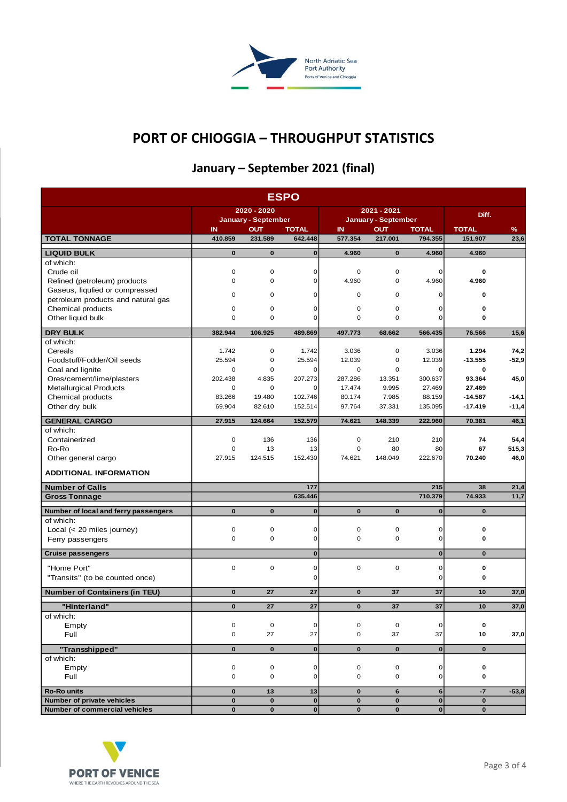

# **PORT OF CHIOGGIA – THROUGHPUT STATISTICS**

# **January – September 2021 (final)**

|                                                |                                                                |                     | <b>ESPO</b>                |                     |                       |                         |                        |                       |
|------------------------------------------------|----------------------------------------------------------------|---------------------|----------------------------|---------------------|-----------------------|-------------------------|------------------------|-----------------------|
|                                                | 2020 - 2020                                                    |                     |                            |                     | 2021 - 2021           | Diff.                   |                        |                       |
|                                                | <b>January - September</b><br>IN<br><b>OUT</b><br><b>TOTAL</b> |                     | <b>January - September</b> |                     |                       | <b>TOTAL</b>            |                        |                       |
| <b>TOTAL TONNAGE</b>                           | 410.859                                                        | 231.589             | 642.448                    | IN<br>577.354       | <b>OUT</b><br>217.001 | <b>TOTAL</b><br>794.355 | 151.907                | $\frac{9}{6}$<br>23,6 |
| <b>LIQUID BULK</b>                             | $\bf{0}$                                                       | $\mathbf 0$         | $\bf{0}$                   | 4.960               | $\bf{0}$              | 4.960                   | 4.960                  |                       |
| of which:                                      |                                                                |                     |                            |                     |                       |                         |                        |                       |
| Crude oil                                      | $\mathbf 0$                                                    | $\mathbf 0$         | $\mathbf 0$                | $\mathbf 0$         | $\mathbf 0$           | 0                       | 0                      |                       |
| Refined (petroleum) products                   | $\mathbf 0$                                                    | $\mathbf 0$         | $\mathbf 0$                | 4.960               | $\mathbf 0$           | 4.960                   | 4.960                  |                       |
| Gaseus, liqufied or compressed                 | $\mathbf 0$                                                    | $\mathbf 0$         | $\mathbf 0$                | $\mathbf 0$         | $\mathbf 0$           | 0                       | 0                      |                       |
| petroleum products and natural gas             |                                                                |                     |                            |                     |                       |                         |                        |                       |
| Chemical products                              | $\mathbf 0$                                                    | $\mathbf 0$         | $\mathbf 0$                | $\mathbf 0$         | $\mathbf 0$           | 0                       | 0                      |                       |
| Other liquid bulk                              | 0                                                              | $\mathbf 0$         | $\overline{0}$             | 0                   | $\mathbf 0$           | 0                       | 0                      |                       |
| <b>DRY BULK</b>                                | 382.944                                                        | 106.925             | 489.869                    | 497.773             | 68.662                | 566.435                 | 76.566                 | 15,6                  |
| of which:                                      |                                                                |                     |                            |                     |                       |                         |                        |                       |
| Cereals                                        | 1.742                                                          | $\mathbf 0$         | 1.742                      | 3.036               | $\mathbf 0$           | 3.036                   | 1.294                  | 74,2                  |
| Foodstuff/Fodder/Oil seeds                     | 25.594                                                         | 0                   | 25.594                     | 12.039              | 0                     | 12.039                  | $-13.555$              | $-52,9$               |
| Coal and lignite                               | $\mathbf 0$                                                    | $\mathbf 0$         | 0                          | 0                   | $\mathbf 0$           | 0                       | 0                      |                       |
| Ores/cement/lime/plasters                      | 202.438                                                        | 4.835               | 207.273                    | 287.286             | 13.351                | 300.637                 | 93.364                 | 45,0                  |
| <b>Metallurgical Products</b>                  | $\mathbf 0$                                                    | $\mathbf 0$         | 0                          | 17.474              | 9.995                 | 27.469                  | 27.469                 |                       |
| Chemical products                              | 83.266<br>69.904                                               | 19.480<br>82.610    | 102.746                    | 80.174<br>97.764    | 7.985                 | 88.159                  | $-14.587$<br>$-17.419$ | $-14,1$               |
| Other dry bulk                                 |                                                                |                     | 152.514                    |                     | 37.331                | 135.095                 |                        | $-11,4$               |
| <b>GENERAL CARGO</b>                           | 27.915                                                         | 124.664             | 152.579                    | 74.621              | 148.339               | 222.960                 | 70.381                 | 46,1                  |
| of which:                                      |                                                                |                     |                            |                     |                       |                         |                        |                       |
| Containerized                                  | 0                                                              | 136                 | 136                        | 0                   | 210                   | 210                     | 74                     | 54,4                  |
| Ro-Ro                                          | $\mathbf 0$<br>27.915                                          | 13<br>124.515       | 13                         | $\mathbf 0$         | 80                    | 80                      | 67                     | 515,3                 |
| Other general cargo                            |                                                                |                     | 152.430                    | 74.621              | 148.049               | 222.670                 | 70.240                 | 46,0                  |
| <b>ADDITIONAL INFORMATION</b>                  |                                                                |                     |                            |                     |                       |                         |                        |                       |
| <b>Number of Calls</b>                         |                                                                |                     | 177                        |                     |                       | 215                     | 38                     | 21,4                  |
| <b>Gross Tonnage</b>                           |                                                                |                     | 635.446                    |                     |                       | 710.379                 | 74.933                 | 11,7                  |
| Number of local and ferry passengers           | $\mathbf 0$                                                    | $\mathbf 0$         | $\pmb{0}$                  | $\mathbf{0}$        | $\mathbf 0$           | $\mathbf{0}$            | $\mathbf{0}$           |                       |
| of which:                                      |                                                                |                     |                            |                     |                       |                         |                        |                       |
| Local $(< 20$ miles journey)                   | $\mathbf 0$                                                    | $\mathbf 0$         | $\mathbf 0$                | 0                   | $\mathbf 0$           | 0                       | 0                      |                       |
| Ferry passengers                               | $\mathbf 0$                                                    | $\mathbf 0$         | $\mathbf 0$                | $\mathbf 0$         | $\mathbf 0$           | 0                       | 0                      |                       |
| <b>Cruise passengers</b>                       |                                                                |                     | $\bf{0}$                   |                     |                       | $\mathbf{0}$            | $\mathbf{0}$           |                       |
|                                                | $\mathbf 0$                                                    |                     |                            | $\mathbf 0$         | $\mathbf 0$           |                         |                        |                       |
| "Home Port"<br>"Transits" (to be counted once) |                                                                | $\mathbf 0$         | $\mathbf 0$<br>$\mathbf 0$ |                     |                       | 0<br>0                  | 0<br>0                 |                       |
|                                                |                                                                |                     |                            |                     |                       |                         |                        |                       |
| <b>Number of Containers (in TEU)</b>           | $\bf{0}$                                                       | 27                  | 27                         | $\bf{0}$            | 37                    | 37                      | 10                     | 37,0                  |
| "Hinterland"                                   | $\bf{0}$                                                       | 27                  | 27                         | $\bf{0}$            | 37                    | 37                      | 10                     | 37,0                  |
| of which:                                      |                                                                |                     |                            |                     |                       |                         |                        |                       |
| Empty                                          | $\mathbf 0$                                                    | $\mathsf{O}\xspace$ | $\mathbf 0$                | $\mathbf 0$         | $\mathsf{O}$          | 0                       | 0                      |                       |
| Full                                           | 0                                                              | 27                  | 27                         | $\mathsf{O}\xspace$ | 37                    | 37                      | 10                     | 37,0                  |
| "Transshipped"                                 | $\mathbf 0$                                                    | $\mathbf 0$         | $\pmb{0}$                  | $\mathbf 0$         | $\mathbf 0$           | $\bf{0}$                | $\mathbf 0$            |                       |
| of which:                                      |                                                                |                     |                            |                     |                       |                         |                        |                       |
| Empty                                          | $\mathbf 0$                                                    | $\mathsf{O}\xspace$ | $\pmb{0}$                  | $\mathsf 0$         | $\mathsf 0$           | 0                       | 0                      |                       |
| Full                                           | $\mathsf{O}\xspace$                                            | $\mathbf 0$         | $\mathsf 0$                | $\mathbf 0$         | $\mathsf{O}\xspace$   | $\mathbf{O}$            | 0                      |                       |
| <b>Ro-Ro units</b>                             | $\pmb{0}$                                                      | 13                  | 13                         | $\mathbf 0$         | $\bf 6$               | $\bf 6$                 | $-7$                   | $-53,8$               |
| Number of private vehicles                     | $\mathbf 0$                                                    | $\mathbf 0$         | $\mathbf 0$                | $\mathbf 0$         | $\mathbf 0$           | $\mathbf 0$             | 0                      |                       |
| Number of commercial vehicles                  | $\mathbf{0}$                                                   | $\mathbf 0$         | $\pmb{0}$                  | $\mathbf 0$         | $\bf{0}$              | $\mathbf 0$             | $\mathbf 0$            |                       |